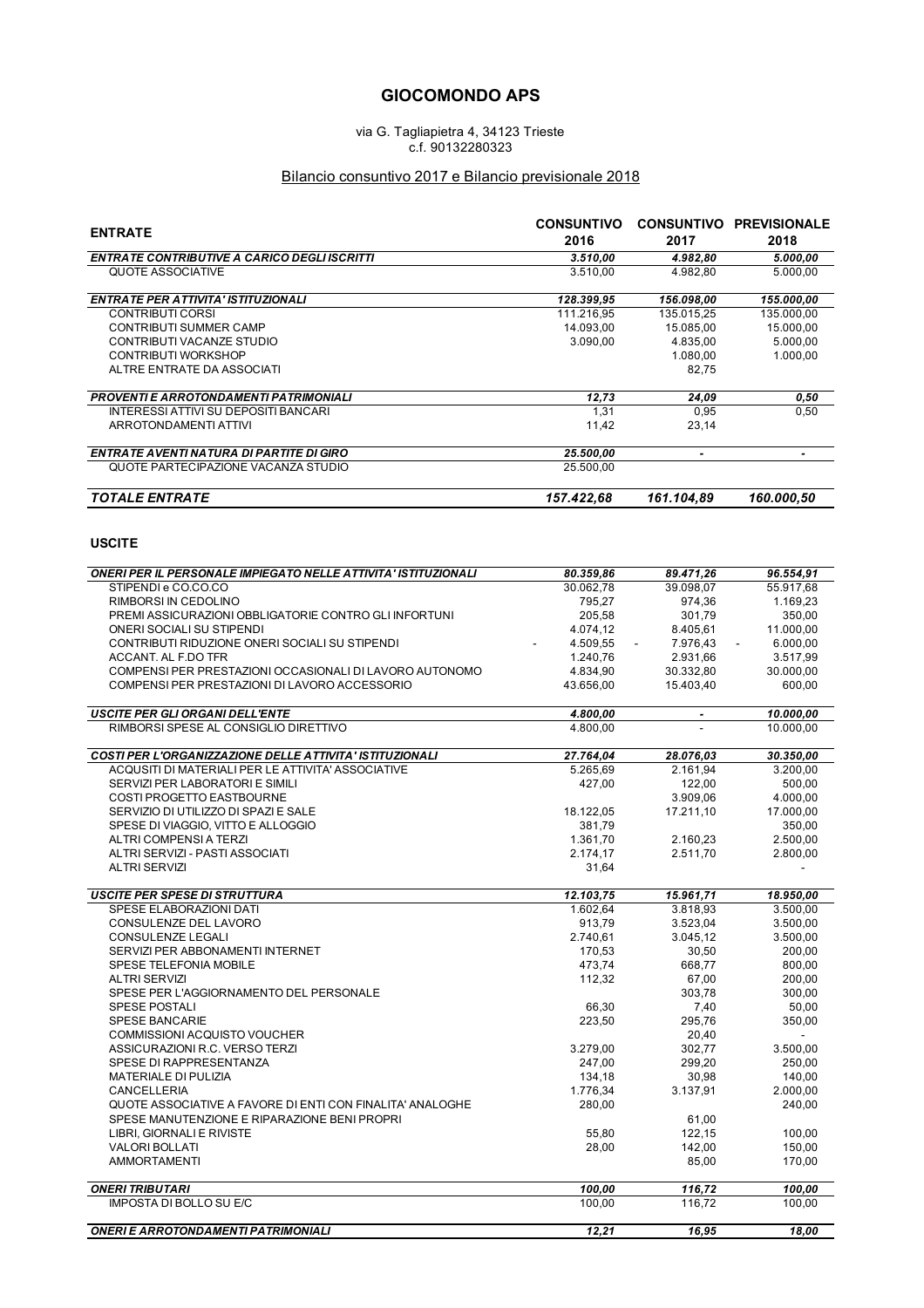## **GIOCOMONDO APS**

via G. Tagliapietra 4, 34123 Trieste c.f. 90132280323

## Bilancio consuntivo 2017 e Bilancio previsionale 2018

| <b>ENTRATE</b>                                                                                           | <b>CONSUNTIVO</b><br>2016 | 2017                     | <b>CONSUNTIVO PREVISIONALE</b><br>2018 |
|----------------------------------------------------------------------------------------------------------|---------------------------|--------------------------|----------------------------------------|
| <b>ENTRATE CONTRIBUTIVE A CARICO DEGLI ISCRITTI</b>                                                      | 3.510,00                  | 4.982.80                 | 5.000,00                               |
| QUOTE ASSOCIATIVE                                                                                        | 3.510,00                  | 4.982,80                 | 5.000,00                               |
| <b>ENTRATE PER ATTIVITA' ISTITUZIONALI</b>                                                               | 128.399,95                | 156.098,00               | 155.000,00                             |
| <b>CONTRIBUTI CORSI</b>                                                                                  | 111.216,95                | 135.015,25               | 135.000,00                             |
| <b>CONTRIBUTI SUMMER CAMP</b>                                                                            | 14.093.00                 | 15.085,00                | 15.000,00                              |
| CONTRIBUTI VACANZE STUDIO                                                                                | 3.090,00                  | 4.835,00                 | 5.000,00                               |
| <b>CONTRIBUTI WORKSHOP</b>                                                                               |                           | 1.080,00                 | 1.000,00                               |
| ALTRE ENTRATE DA ASSOCIATI                                                                               |                           | 82,75                    |                                        |
| <b>PROVENTI E ARROTONDAMENTI PATRIMONIALI</b>                                                            | 12,73                     | 24,09                    | 0,50                                   |
| INTERESSI ATTIVI SU DEPOSITI BANCARI                                                                     | 1,31                      | 0,95                     | 0,50                                   |
| ARROTONDAMENTI ATTIVI                                                                                    | 11,42                     | 23,14                    |                                        |
| <b>ENTRATE AVENTI NATURA DI PARTITE DI GIRO</b>                                                          | 25.500,00                 | $\overline{\phantom{a}}$ | $\overline{\phantom{a}}$               |
| QUOTE PARTECIPAZIONE VACANZA STUDIO                                                                      | 25.500,00                 |                          |                                        |
| <b>TOTALE ENTRATE</b>                                                                                    | 157.422,68                | 161.104,89               | 160.000,50                             |
| <b>USCITE</b>                                                                                            |                           |                          |                                        |
|                                                                                                          |                           |                          |                                        |
| <b>ONERI PER IL PERSONALE IMPIEGATO NELLE ATTIVITA' ISTITUZIONALI</b>                                    | 80.359,86                 | 89.471.26                | 96.554.91                              |
| STIPENDI e CO.CO.CO                                                                                      | 30.062,78                 | 39.098,07                | 55.917,68                              |
| RIMBORSI IN CEDOLINO                                                                                     | 795,27                    | 974.36                   | 1.169,23                               |
| PREMI ASSICURAZIONI OBBLIGATORIE CONTRO GLI INFORTUNI<br>ONERI SOCIALI SU STIPENDI                       | 205.58                    | 301,79                   | 350,00<br>11.000.00                    |
| CONTRIBUTI RIDUZIONE ONERI SOCIALI SU STIPENDI                                                           | 4.074,12                  | 8.405,61<br>7.976.43     |                                        |
|                                                                                                          | 4.509,55<br>1.240.76      |                          | 6.000,00                               |
| ACCANT. AL F.DO TFR                                                                                      |                           | 2.931,66                 | 3.517,99                               |
| COMPENSI PER PRESTAZIONI OCCASIONALI DI LAVORO AUTONOMO<br>COMPENSI PER PRESTAZIONI DI LAVORO ACCESSORIO | 4.834,90<br>43.656,00     | 30.332,80<br>15.403,40   | 30.000,00<br>600,00                    |
|                                                                                                          |                           |                          |                                        |
| <b>USCITE PER GLI ORGANI DELL'ENTE</b><br>RIMBORSI SPESE AL CONSIGLIO DIRETTIVO                          | 4.800,00<br>4.800,00      |                          | 10.000,00<br>10.000,00                 |
|                                                                                                          |                           |                          |                                        |
| COSTI PER L'ORGANIZZAZIONE DELLE ATTIVITA' ISTITUZIONALI                                                 | 27.764,04                 | 28.076,03                | 30.350,00                              |
| ACQUSITI DI MATERIALI PER LE ATTIVITA' ASSOCIATIVE                                                       | 5.265,69                  | 2.161,94                 | 3.200,00                               |
| SERVIZI PER LABORATORI E SIMILI                                                                          | 427,00                    | 122,00                   | 500,00                                 |
| COSTI PROGETTO EASTBOURNE                                                                                |                           | 3.909,06                 | 4.000,00                               |
| SERVIZIO DI UTILIZZO DI SPAZI E SALE                                                                     | 18.122,05                 | 17.211,10                | 17.000,00                              |
| SPESE DI VIAGGIO, VITTO E ALLOGGIO                                                                       | 381,79                    |                          | 350,00                                 |
| ALTRI COMPENSI A TERZI                                                                                   | 1.361,70                  | 2.160,23                 | 2.500,00                               |
| ALTRI SERVIZI - PASTI ASSOCIATI                                                                          | 2.174,17                  | 2.511,70                 | 2.800,00                               |
| <b>ALTRI SERVIZI</b>                                                                                     | 31,64                     |                          |                                        |
| <b>USCITE PER SPESE DI STRUTTURA</b>                                                                     | 12.103,75                 | 15.961,71                | 18.950.00                              |
| SPESE ELABORAZIONI DATI                                                                                  | 1.602,64                  | 3.818,93                 | 3.500,00                               |
| CONSULENZE DEL LAVORO                                                                                    | 913,79                    | 3.523,04                 | 3.500,00                               |
| CONSULENZE LEGALI                                                                                        | 2.740,61                  | 3.045,12                 | 3.500,00                               |
| SERVIZI PER ABBONAMENTI INTERNET                                                                         | 170,53                    | 30,50                    | 200,00                                 |
| SPESE TELEFONIA MOBILE                                                                                   | 473,74                    | 668,77                   | 800,00                                 |
| <b>ALTRI SERVIZI</b>                                                                                     | 112,32                    | 67,00                    | 200,00                                 |
| SPESE PER L'AGGIORNAMENTO DEL PERSONALE                                                                  |                           | 303,78                   | 300,00                                 |
| <b>SPESE POSTALI</b>                                                                                     | 66,30                     | 7,40                     | 50,00                                  |
| <b>SPESE BANCARIE</b>                                                                                    | 223.50                    | 295,76                   | 350,00                                 |
| COMMISSIONI ACQUISTO VOUCHER                                                                             |                           | 20,40                    |                                        |
| ASSICURAZIONI R.C. VERSO TERZI                                                                           | 3.279,00                  | 302,77                   | 3.500,00                               |
| SPESE DI RAPPRESENTANZA                                                                                  | 247,00                    | 299,20                   | 250,00                                 |
| MATERIALE DI PULIZIA<br>CANCELLERIA                                                                      | 134,18<br>1.776,34        | 30,98<br>3.137,91        | 140,00<br>2.000,00                     |
|                                                                                                          |                           |                          |                                        |
| QUOTE ASSOCIATIVE A FAVORE DI ENTI CON FINALITA' ANALOGHE                                                | 280,00                    |                          | 240,00                                 |
| SPESE MANUTENZIONE E RIPARAZIONE BENI PROPRI                                                             |                           | 61,00                    |                                        |
| LIBRI, GIORNALI E RIVISTE                                                                                | 55,80                     | 122,15                   | 100,00                                 |
| <b>VALORI BOLLATI</b><br><b>AMMORTAMENTI</b>                                                             | 28,00                     | 142,00<br>85,00          | 150,00<br>170,00                       |
|                                                                                                          |                           |                          |                                        |
| <b>ONERI TRIBUTARI</b><br><b>IMPOSTA DI BOLLO SU E/C</b>                                                 | 100,00<br>100,00          | 116,72<br>116,72         | 100,00<br>100,00                       |
|                                                                                                          |                           |                          |                                        |
| <b>ONERI E ARROTONDAMENTI PATRIMONIALI</b>                                                               | 12,21                     | 16,95                    | 18,00                                  |